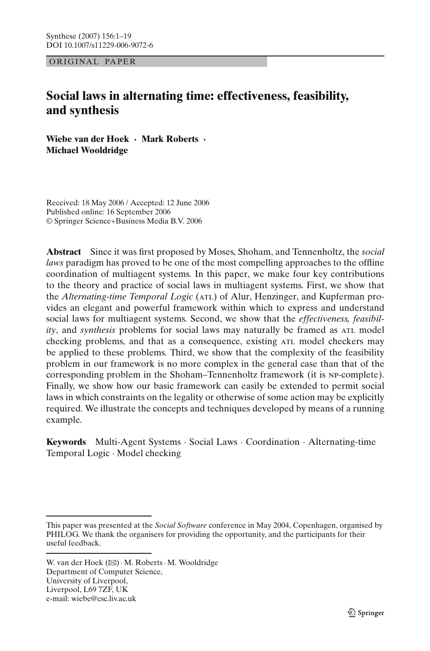ORIGINAL PAPER

# **Social laws in alternating time: effectiveness, feasibility, and synthesis**

**Wiebe van der Hoek** · **Mark Roberts** · **Michael Wooldridge**

Received: 18 May 2006 / Accepted: 12 June 2006 Published online: 16 September 2006 © Springer Science+Business Media B.V. 2006

**Abstract** Since it was first proposed by Moses, Shoham, and Tennenholtz, the *social laws* paradigm has proved to be one of the most compelling approaches to the offline coordination of multiagent systems. In this paper, we make four key contributions to the theory and practice of social laws in multiagent systems. First, we show that the *Alternating-time Temporal Logic* (atl) of Alur, Henzinger, and Kupferman provides an elegant and powerful framework within which to express and understand social laws for multiagent systems. Second, we show that the *effectiveness, feasibility*, and *synthesis* problems for social laws may naturally be framed as ATL model checking problems, and that as a consequence, existing ATL model checkers may be applied to these problems. Third, we show that the complexity of the feasibility problem in our framework is no more complex in the general case than that of the corresponding problem in the Shoham–Tennenholtz framework (it is np-complete). Finally, we show how our basic framework can easily be extended to permit social laws in which constraints on the legality or otherwise of some action may be explicitly required. We illustrate the concepts and techniques developed by means of a running example.

**Keywords** Multi-Agent Systems · Social Laws · Coordination · Alternating-time Temporal Logic · Model checking

This paper was presented at the *Social Software* conference in May 2004, Copenhagen, organised by PHILOG. We thank the organisers for providing the opportunity, and the participants for their useful feedback.

W. van der Hoek ( $\boxtimes$ ) · M. Roberts · M. Wooldridge Department of Computer Science, University of Liverpool, Liverpool, L69 7ZF, UK e-mail: wiebe@csc.liv.ac.uk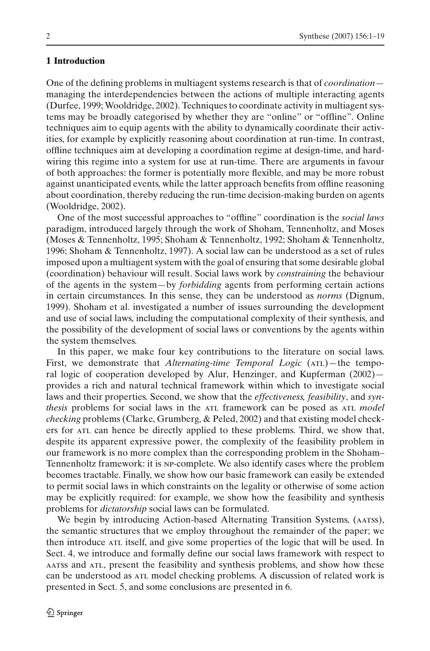## **1 Introduction**

One of the defining problems in multiagent systems research is that of *coordination* managing the interdependencies between the actions of multiple interacting agents (Durfee, 1999; Wooldridge, 2002). Techniquesto coordinate activity in multiagentsystems may be broadly categorised by whether they are "online" or "offline". Online techniques aim to equip agents with the ability to dynamically coordinate their activities, for example by explicitly reasoning about coordination at run-time. In contrast, offline techniques aim at developing a coordination regime at design-time, and hardwiring this regime into a system for use at run-time. There are arguments in favour of both approaches: the former is potentially more flexible, and may be more robust against unanticipated events, while the latter approach benefitsfrom offline reasoning about coordination, thereby reducing the run-time decision-making burden on agents (Wooldridge, 2002).

One of the most successful approaches to "offline" coordination is the *social laws* paradigm, introduced largely through the work of Shoham, Tennenholtz, and Moses (Moses & Tennenholtz, 1995; Shoham & Tennenholtz, 1992; Shoham & Tennenholtz, 1996; Shoham & Tennenholtz, 1997). A social law can be understood as a set of rules imposed upon a multiagent system with the goal of ensuring that some desirable global (coordination) behaviour will result. Social laws work by *constraining* the behaviour of the agents in the system—by *forbidding* agents from performing certain actions in certain circumstances. In this sense, they can be understood as *norms* (Dignum, 1999). Shoham et al. investigated a number of issues surrounding the development and use of social laws, including the computational complexity of their synthesis, and the possibility of the development of social laws or conventions by the agents within the system themselves.

In this paper, we make four key contributions to the literature on social laws. First, we demonstrate that *Alternating-time Temporal Logic* (ATL)—the temporal logic of cooperation developed by Alur, Henzinger, and Kupferman (2002) provides a rich and natural technical framework within which to investigate social laws and their properties. Second, we show that the *effectiveness, feasibility*, and *synthesis* problems for social laws in the ATL framework can be posed as ATL *model checking* problems (Clarke, Grumberg, & Peled, 2002) and that existing model checkers for atl can hence be directly applied to these problems. Third, we show that, despite its apparent expressive power, the complexity of the feasibility problem in our framework is no more complex than the corresponding problem in the Shoham– Tennenholtz framework: it is np-complete. We also identify cases where the problem becomes tractable. Finally, we show how our basic framework can easily be extended to permit social laws in which constraints on the legality or otherwise of some action may be explicitly required: for example, we show how the feasibility and synthesis problems for *dictatorship* social laws can be formulated.

We begin by introducing Action-based Alternating Transition Systems, (aatss), the semantic structures that we employ throughout the remainder of the paper; we then introduce ATL itself, and give some properties of the logic that will be used. In Sect. 4, we introduce and formally define our social laws framework with respect to aatss and atl, present the feasibility and synthesis problems, and show how these can be understood as ATL model checking problems. A discussion of related work is presented in Sect. 5, and some conclusions are presented in 6.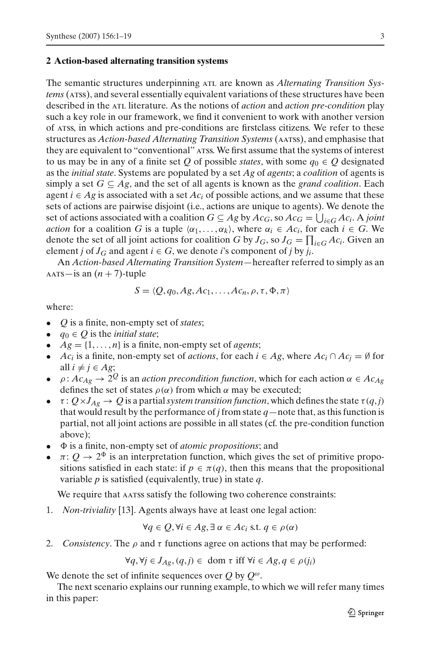#### **2 Action-based alternating transition systems**

The semantic structures underpinning ATL are known as *Alternating Transition* Sys*tems* (ATSS), and several essentially equivalent variations of these structures have been described in the atl literature. As the notions of *action* and *action pre-condition* play such a key role in our framework, we find it convenient to work with another version of atss, in which actions and pre-conditions are firstclass citizens. We refer to these structures as *Action-based Alternating Transition Systems* (aatss), and emphasise that they are equivalent to "conventional" atss. We first assume that the systems of interest to us may be in any of a finite set  $Q$  of possible *states*, with some  $q_0 \in Q$  designated as the *initial state*. Systems are populated by a set *Ag* of *agents*; a *coalition* of agents is simply a set  $G \subseteq Ag$ , and the set of all agents is known as the *grand coalition*. Each agent  $i \in Ag$  is associated with a set  $Ac_i$  of possible actions, and we assume that these sets of actions are pairwise disjoint (i.e., actions are unique to agents). We denote the set of actions associated with a coalition  $G \subseteq Ag$  by  $Ac_G$ , so  $Ac_G = \bigcup_{i \in G} Ac_i$ . A *joint action* for a coalition *G* is a tuple  $\langle \alpha_1, \ldots, \alpha_k \rangle$ , where  $\alpha_i \in Ac_i$ , for each  $i \in G$ . We denote the set of all joint actions for coalition *G* by  $J_G$ , so  $J_G = \prod_{i \in G} Ac_i$ . Given an element *j* of  $J_G$  and agent  $i \in G$ , we denote *i*'s component of *j* by  $j_i$ .

An *Action-based Alternating Transition System*—hereafter referred to simply as an  $\arcsin$  an  $(n + 7)$ -tuple

$$
S = \langle Q, q_0, Ag, Ac_1, \dots, Ac_n, \rho, \tau, \Phi, \pi \rangle
$$

where:

- *Q* is a finite, non-empty set of *states*;
- $q_0 \in Q$  is the *initial state*;
- $Ag = \{1, \ldots, n\}$  is a finite, non-empty set of *agents*;
- *Ac<sub>i</sub>* is a finite, non-empty set of *actions*, for each  $i \in Ag$ , where  $Ac_i \cap Ac_j = \emptyset$  for all  $i ≠ j ∈ Ag;$
- $\rho: Ac_{Ag} \to 2^Q$  is an *action precondition function*, which for each action  $\alpha \in Ac_{Ag}$ defines the set of states  $\rho(\alpha)$  from which  $\alpha$  may be executed;
- $\tau$  :  $Q \times J_{Ag} \rightarrow Q$  is a partial *system transition function*, which defines the state  $\tau(q, j)$ that would result by the performance of *j* from state  $q$ —note that, as this function is partial, not all joint actions are possible in all states (cf. the pre-condition function above);
- \$ is a finite, non-empty set of *atomic propositions*; and
- $\pi: Q \to 2^{\Phi}$  is an interpretation function, which gives the set of primitive propositions satisfied in each state: if  $p \in \pi(q)$ , then this means that the propositional variable *p* is satisfied (equivalently, true) in state *q*.

We require that AATSS satisfy the following two coherence constraints:

1. *Non-triviality* [13]. Agents always have at least one legal action:

$$
\forall q \in Q, \forall i \in Ag, \exists \alpha \in Ac_i \text{ s.t. } q \in \rho(\alpha)
$$

2. *Consistency*. The  $\rho$  and  $\tau$  functions agree on actions that may be performed:

$$
\forall q, \forall j \in J_{Ag}, (q, j) \in \text{dom } \tau \text{ iff } \forall i \in Ag, q \in \rho(j_i)
$$

We denote the set of infinite sequences over  $Q$  by  $Q^{\omega}$ .

The next scenario explains our running example, to which we will refer many times in this paper: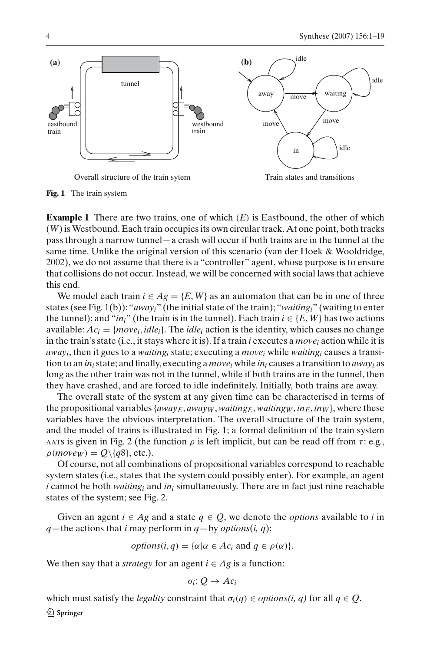

**Fig. 1** The train system

**Example 1** There are two trains, one of which (*E*) is Eastbound, the other of which  $(W)$  is Westbound. Each train occupies its own circular track. At one point, both tracks pass through a narrow tunnel—a crash will occur if both trains are in the tunnel at the same time. Unlike the original version of this scenario (van der Hoek & Wooldridge, 2002), we do not assume that there is a "controller" agent, whose purpose is to ensure that collisions do not occur.Instead, we will be concerned with social lawsthat achieve this end.

We model each train  $i \in Ag = \{E, W\}$  as an automaton that can be in one of three states(see Fig. 1(b)): "*awayi*" (the initialstate of the train); "*waitingi*" (waiting to enter the tunnel); and "*in<sub>i</sub>*" (the train is in the tunnel). Each train  $i \in \{E, W\}$  has two actions available:  $Ac_i = \{move_i, idle_i\}$ . The *idle<sub>i</sub>* action is the identity, which causes no change in the train's state (i.e., it stays where it is). If a train *i* executes a *move*; action while it is *awayi*, then it goes to a *waitingi* state; executing a *movei* while *waitingi* causes a transition to an *in<sub>i</sub>* state; and finally, executing a *move<sub>i</sub>* while *in<sub>i</sub>* causes a transition to *away<sub>i</sub>* as long as the other train was not in the tunnel, while if both trains are in the tunnel, then they have crashed, and are forced to idle indefinitely. Initially, both trains are away.

The overall state of the system at any given time can be characterised in terms of the propositional variables  $\{away_E, away_W, waiting_E, waiting_W, in_E, in_W\}$ , where these variables have the obvious interpretation. The overall structure of the train system, and the model of trains is illustrated in Fig. 1; a formal definition of the train system AATS is given in Fig. 2 (the function  $\rho$  is left implicit, but can be read off from  $\tau$ : e.g.,  $\rho$ (*movew*) =  $O\setminus\{a8\}$ , etc.).

Of course, not all combinations of propositional variables correspond to reachable system states (i.e., states that the system could possibly enter). For example, an agent *i* cannot be both *waitingi* and *ini* simultaneously. There are in fact just nine reachable states of the system; see Fig. 2.

Given an agent  $i \in Ag$  and a state  $q \in Q$ , we denote the *options* available to *i* in *q*—the actions that *i* may perform in  $q$ —by *options* $(i, q)$ :

$$
options(i, q) = \{ \alpha | \alpha \in Ac_i \text{ and } q \in \rho(\alpha) \}.
$$

We then say that a *strategy* for an agent  $i \in Ag$  is a function:

$$
\sigma_i\colon Q\to Ac_i
$$

which must satisfy the *legality* constraint that  $\sigma_i(q) \in options(i, q)$  for all  $q \in Q$ .

 $\hat{\mathcal{D}}$  Springer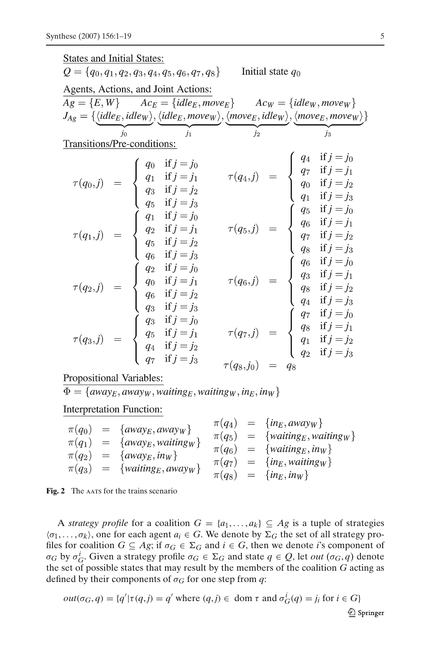| <b>States and Initial States:</b> |                                                                                                                                                                                                                                                                                |                                                                                                                                                                                                                                                                                                                                                                                                                       |                     |  |
|-----------------------------------|--------------------------------------------------------------------------------------------------------------------------------------------------------------------------------------------------------------------------------------------------------------------------------|-----------------------------------------------------------------------------------------------------------------------------------------------------------------------------------------------------------------------------------------------------------------------------------------------------------------------------------------------------------------------------------------------------------------------|---------------------|--|
|                                   | $Q = \{q_0, q_1, q_2, q_3, q_4, q_5, q_6, q_7, q_8\}$                                                                                                                                                                                                                          |                                                                                                                                                                                                                                                                                                                                                                                                                       | Initial state $q_0$ |  |
|                                   | Agents, Actions, and Joint Actions:                                                                                                                                                                                                                                            |                                                                                                                                                                                                                                                                                                                                                                                                                       |                     |  |
|                                   | $Ag = \{E, W\}$ $Ac_E = \{idle_E, move_E\}$ $Ac_W = \{idle_W, move_W\}$                                                                                                                                                                                                        |                                                                                                                                                                                                                                                                                                                                                                                                                       |                     |  |
|                                   | $J_{Ag} = \{\underbrace{(idle_E, idle_W)}_{j_0}, \underbrace{(idle_E, move_W)}_{j_1}, \underbrace{\langle move_E, idle_W \rangle}_{j_2}, \underbrace{\langle move_E, move_W \rangle}_{j_3}\}$                                                                                  |                                                                                                                                                                                                                                                                                                                                                                                                                       |                     |  |
| Transitions/Pre-conditions:       |                                                                                                                                                                                                                                                                                |                                                                                                                                                                                                                                                                                                                                                                                                                       |                     |  |
|                                   | $\tau(q_{0},j) \hspace{2mm} = \hspace{2mm} \left\{ \begin{array}{ll} q_{0} & \text{if} \hspace{0.5mm} j = j_{0} \\ q_{1} & \text{if} \hspace{0.5mm} j = j_{1} \\ q_{3} & \text{if} \hspace{0.5mm} j = j_{2} \\ q_{5} & \text{if} \hspace{0.5mm} j = j_{3} \end{array} \right.$ | $\tau(q_4,j)$ = $\begin{cases} q_4 & \text{if } j = j_0 \\ q_7 & \text{if } j = j_1 \\ q_0 & \text{if } j = j_2 \\ q_1 & \text{if } j = j_3 \end{cases}$                                                                                                                                                                                                                                                              |                     |  |
|                                   | $\tau(q_1,j) = \begin{cases} q_1 & \text{if } j = j_0 \\ q_2 & \text{if } j = j_1 \\ q_5 & \text{if } j = j_2 \\ q_6 & \text{if } j = j_3 \end{cases}$                                                                                                                         | $\tau(q_5,j)$ = $\begin{cases}\nq_1 & \text{if } j = j_0 \\ q_6 & \text{if } j = j_1 \\ q_7 & \text{if } j = j_2 \\ q_8 & \text{if } j = j_3 \\ \vdots & \vdots & \vdots \\ q_8 & \text{if } j = j_3\n\end{cases}$                                                                                                                                                                                                    |                     |  |
|                                   | $\tau(q_2,j) = \begin{cases} q_2 & \text{if } j = j_0 \\ q_0 & \text{if } j = j_1 \\ q_6 & \text{if } j = j_2 \\ q_3 & \text{if } j = j_3 \end{cases}$                                                                                                                         |                                                                                                                                                                                                                                                                                                                                                                                                                       |                     |  |
|                                   | $\tau(q_3,j) \;\; = \;\; \left\{ \begin{array}{ll} \tau \circ & \circ \\ q_3 & \text{if} \; j = j_0 \\ q_5 & \text{if} \; j = j_1 \\ q_4 & \text{if} \; j = j_2 \\ q_7 & \text{if} \; j = j_3 \end{array} \right.$                                                             | $\tau(q_{6},j) \hspace{0.1in} = \hspace{0.1in} \left\{ \begin{array}{ll} q_{8} & \text{if } j = j_{3} \ q_{6} & \text{if } j = j_{0} \ q_{3} & \text{if } j = j_{1} \ q_{8} & \text{if } j = j_{2} \ q_{4} & \text{if } j = j_{3} \ q_{4} & \text{if } j = j_{3} \ q_{5} & \text{if } j = j_{1} \ q_{6} & \text{if } j = j_{1} \ q_{1} & \text{if } j = j_{2} \ q_{2} & \text{if } j = j_{3} \ \tau(q_{8},j_{0}) \hs$ |                     |  |
|                                   |                                                                                                                                                                                                                                                                                |                                                                                                                                                                                                                                                                                                                                                                                                                       |                     |  |

Propositional Variables:

 $\Phi = \{away_E, away_W, waiting_E, waiting_W, in_E, in_W\}$ 

Interpretation Function:

| $\pi(q_0) = \{away_E, away_W\}$                    | $\pi(q_4) = \{in_E, away_W\}$         |
|----------------------------------------------------|---------------------------------------|
|                                                    | $\pi(q_5) = \{waiting_E, waiting_W\}$ |
| $\pi(q_1) = \{away_E, waiting_W\}$                 | $\pi(q_6) = \{waiting_E, in_W\}$      |
| $\pi(q_2) = \{away_E, in_W\}$                      | $\pi(q_7) = \{in_E, waiting_W\}$      |
| $\pi(q_3) = \{ \text{waiting}_E, \text{away}_W \}$ | $\pi(q_8) = \{in, in_W\}$             |

Fig. 2 The AATS for the trains scenario

A *strategy profile* for a coalition  $G = \{a_1, \ldots, a_k\} \subseteq Ag$  is a tuple of strategies  $\langle \sigma_1, \ldots, \sigma_k \rangle$ , one for each agent  $a_i \in G$ . We denote by  $\Sigma_G$  the set of all strategy profiles for coalition  $G \subseteq Ag$ ; if  $\sigma_G \in \Sigma_G$  and  $i \in G$ , then we denote *i*'s component of *σ*<sub>*G*</sub> by *σ*<sup>*i*</sup><sub>*G*</sub>. Given a strategy profile *σ*<sub>*G*</sub> ∈  $Σ$ *G* and state *q* ∈ *Q*, let *out* (*σG*, *q*) denote the set of possible states that may result by the members of the coalition *G* acting as defined by their components of  $\sigma$ <sup>G</sup> for one step from *q*:

$$
out(\sigma_G, q) = \{q' | \tau(q, j) = q' \text{ where } (q, j) \in \text{ dom } \tau \text{ and } \sigma_G^i(q) = j_i \text{ for } i \in G\}
$$
  
 
$$
\textcircled{2} \text{Springer}
$$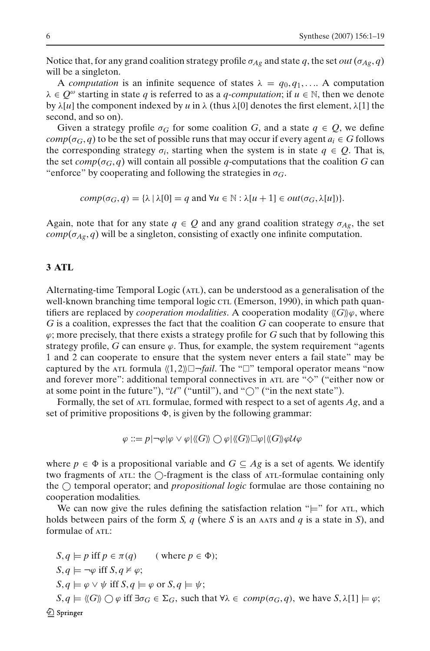Notice that, for any grand coalition strategy profile  $\sigma_{Ag}$  and state q, the set *out* ( $\sigma_{Ag}$ , q) will be a singleton.

A *computation* is an infinite sequence of states  $\lambda = q_0, q_1, \dots$  A computation  $\lambda \in Q^{\omega}$  starting in state q is referred to as a q-computation; if  $u \in \mathbb{N}$ , then we denote by  $\lambda[u]$  the component indexed by  $u$  in  $\lambda$  (thus  $\lambda[0]$  denotes the first element,  $\lambda[1]$  the second, and so on).

Given a strategy profile  $\sigma_G$  for some coalition *G*, and a state  $q \in Q$ , we define *comp*( $\sigma$ *G*, *q*) to be the set of possible runs that may occur if every agent  $a_i \in G$  follows the corresponding strategy  $\sigma_i$ , starting when the system is in state  $q \in Q$ . That is, the set  $comp(\sigma_G, q)$  will contain all possible *q*-computations that the coalition *G* can "enforce" by cooperating and following the strategies in  $\sigma$ <sup>G</sup>.

 $comp(\sigma_G, q) = {\lambda | \lambda[0] = q}$  and  $\forall u \in \mathbb{N} : \lambda[u+1] \in out(\sigma_G, \lambda[u])}.$ 

Again, note that for any state  $q \in Q$  and any grand coalition strategy  $\sigma_{Ag}$ , the set  $comp(\sigma_{Ag}, q)$  will be a singleton, consisting of exactly one infinite computation.

# **3 ATL**

Alternating-time Temporal Logic (ATL), can be understood as a generalisation of the well-known branching time temporal logic CTL (Emerson, 1990), in which path quantifiers are replaced by *cooperation modalities*. A cooperation modality  $\langle G \rangle \varphi$ , where *G* is a coalition, expresses the fact that the coalition *G* can cooperate to ensure that ϕ; more precisely, that there exists a strategy profile for *G* such that by following this strategy profile,  $G$  can ensure  $\varphi$ . Thus, for example, the system requirement "agents" 1 and 2 can cooperate to ensure that the system never enters a fail state" may be captured by the ATL formula  $\langle 1, 2 \rangle \square \neg \text{fail}$ . The " $\square$ " temporal operator means "now and forever more": additional temporal connectives in ATL are " $\diamondsuit$ " ("either now or at some point in the future"), " $\mathcal{U}$ " ("until"), and " $\bigcirc$ " ("in the next state").

Formally, the set of ATL formulae, formed with respect to a set of agents Ag, and a set of primitive propositions  $\Phi$ , is given by the following grammar:

$$
\varphi ::= p | \neg \varphi | \varphi \vee \varphi | \langle \langle G \rangle \rangle \bigcirc \varphi | \langle \langle G \rangle \rangle \Box \varphi | \langle \langle G \rangle \rangle \varphi \mathcal{U} \varphi
$$

where  $p \in \Phi$  is a propositional variable and  $G \subseteq Ag$  is a set of agents. We identify two fragments of ATL: the  $\bigcirc$ -fragment is the class of ATL-formulae containing only the  $\bigcirc$  temporal operator; and *propositional logic* formulae are those containing no cooperation modalities.

We can now give the rules defining the satisfaction relation " $\models$ " for ATL, which holds between pairs of the form *S*,  $q$  (where *S* is an AATs and  $q$  is a state in *S*), and formulae of ATL:

$$
S, q \models p \text{ iff } p \in \pi(q) \qquad \text{(where } p \in \Phi);
$$
\n
$$
S, q \models \neg \varphi \text{ iff } S, q \nvDash \varphi;
$$
\n
$$
S, q \models \varphi \lor \psi \text{ iff } S, q \models \varphi \text{ or } S, q \models \psi;
$$
\n
$$
S, q \models \langle\!\langle G \rangle\!\rangle \bigcirc \varphi \text{ iff } \exists \sigma_G \in \Sigma_G, \text{ such that } \forall \lambda \in \text{comp}(\sigma_G, q), \text{ we have } S, \lambda[1] \models \varphi;
$$
\n
$$
\textcircled{2} \text{ Springer}
$$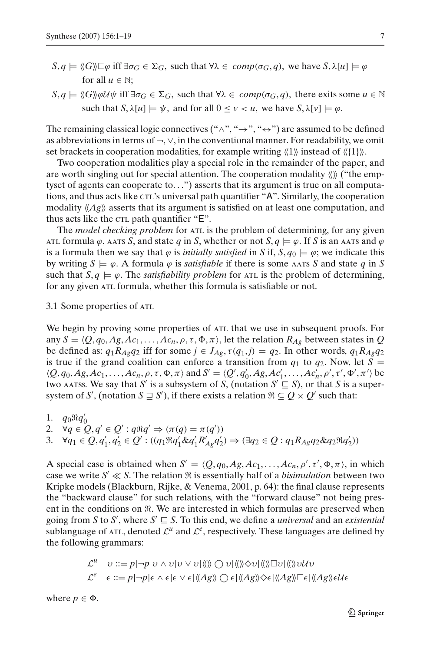- $S, q \models \langle G \rangle \Box \varphi$  iff  $\exists \sigma_G \in \Sigma_G$ , such that  $\forall \lambda \in comp(\sigma_G, q)$ , we have  $S, \lambda[u] \models \varphi$ for all  $u \in \mathbb{N}$ :
- $S, q \models \langle G \rangle \varphi \mathcal{U} \psi$  iff  $\exists \sigma_G \in \Sigma_G$ , such that  $\forall \lambda \in comp(\sigma_G, q)$ , there exits some  $u \in \mathbb{N}$ such that  $S, \lambda[u] \models \psi$ , and for all  $0 \le v \le u$ , we have  $S, \lambda[v] \models \varphi$ .

The remaining classical logic connectives (" $\land$ ", " $\rightarrow$ ", " $\leftrightarrow$ ") are assumed to be defined as abbreviations in terms of  $\neg, \vee$ , in the conventional manner. For readability, we omit set brackets in cooperation modalities, for example writing  $\langle\langle 1 \rangle$  instead of  $\langle\langle 1 | 1 \rangle\rangle$ .

Two cooperation modalities play a special role in the remainder of the paper, and are worth singling out for special attention. The cooperation modality  $\langle \rangle \rangle$  ("the emptyset of agents can cooperate to...") asserts that its argument is true on all computations, and thus acts like CTL's universal path quantifier "A". Similarly, the cooperation modality  $\langle \langle Ag \rangle \rangle$  asserts that its argument is satisfied on at least one computation, and thus acts like the  $CTL$  path quantifier "E".

The *model checking problem* for atl is the problem of determining, for any given atl formula  $\varphi$ , aats *S*, and state *q* in *S*, whether or not *S*,  $q \models \varphi$ . If *S* is an aats and  $\varphi$ is a formula then we say that  $\varphi$  is *initially satisfied* in *S* if, *S*,  $q_0 \models \varphi$ ; we indicate this by writing  $S \models \varphi$ . A formula  $\varphi$  is *satisfiable* if there is some aats *S* and state *q* in *S* such that  $S, q \models \varphi$ . The *satisfiability* problem for ATL is the problem of determining, for any given ATL formula, whether this formula is satisfiable or not.

3.1 Some properties of atl

We begin by proving some properties of  $ATL$  that we use in subsequent proofs. For any  $S = \langle Q, q_0, Ag, Ac_1, \ldots, Ac_n, \rho, \tau, \Phi, \pi \rangle$ , let the relation  $R_{Ag}$  between states in  $Q$ be defined as:  $q_1R_{Ag}q_2$  iff for some  $j \in J_{Ag}, \tau(q_1, j) = q_2$ . In other words,  $q_1R_{Ag}q_2$ is true if the grand coalition can enforce a transition from  $q_1$  to  $q_2$ . Now, let  $\tilde{S} =$  $\langle Q, q_0, Ag, Ac_1, \ldots, Ac_n, \rho, \tau, \Phi, \pi \rangle$  and  $S' = \langle Q', q'_0, Ag, Ac'_1, \ldots, Ac'_n, \rho', \tau', \Phi', \pi' \rangle$  be two aatss. We say that *S'* is a subsystem of *S*, (notation  $S' \subseteq S$ ), or that *S* is a supersystem of *S'*, (notation  $S \sqsupseteq S'$ ), if there exists a relation  $\Re \subseteq Q \times Q'$  such that:

- 1.  $q_0$   $\Re q'_0$
- 2.  $\forall q \in Q, q' \in Q': q \Re q' \Rightarrow (\pi(q) = \pi(q'))$
- 3.  $∀q_1 ∈ Q, q'_1, q'_2 ∈ Q': ((q_1 \Re q'_1 \& q'_1 R'_{Ag} q'_2) ⇒ (\exists q_2 ∈ Q : q_1 R_{Ag} q_2 \& q_2 \Re q'_2))$

A special case is obtained when  $S' = \langle Q, q_0, Ag, Ac_1, \ldots, Ac_n, \rho', \tau', \Phi, \pi \rangle$ , in which case we write  $S' \ll S$ . The relation  $\Re$  is essentially half of a *bisimulation* between two Kripke models (Blackburn, Rijke, & Venema, 2001, p. 64): the final clause represents the "backward clause" for such relations, with the "forward clause" not being present in the conditions on  $\Re$ . We are interested in which formulas are preserved when going from *S* to *S'*, where  $S' \subseteq S$ . To this end, we define a *universal* and an *existential* sublanguage of ATL, denoted  $\mathcal{L}^u$  and  $\mathcal{L}^e$ , respectively. These languages are defined by the following grammars:

$$
\mathcal{L}^{u} \quad v ::= p|\neg p|v \wedge v|v \vee v|\langle\langle\rangle \rangle \bigcirc v|\langle\langle\rangle \rangle \bigcirc v|\langle\langle\rangle \rangle \bigotimes v|\langle\langle\rangle \rangle \bigotimes v|\langle\langle\rangle \rangle
$$
  

$$
\mathcal{L}^{e} \quad \epsilon ::= p|\neg p|\epsilon \wedge \epsilon|\epsilon \vee \epsilon|\langle\langle Ag \rangle \rangle \bigcirc \epsilon|\langle\langle Ag \rangle \rangle \bigcirc \epsilon|\langle\langle Ag \rangle \rangle \Box \epsilon|\langle\langle Ag \rangle \rangle \epsilon \mathcal{U}\epsilon
$$

where  $p \in \Phi$ .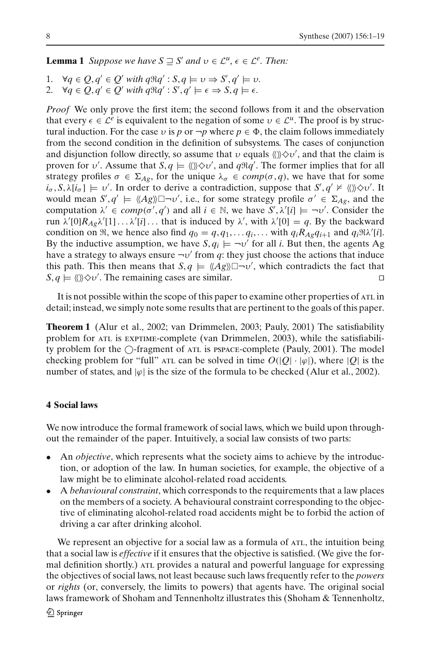**Lemma 1** *Suppose we have*  $S \supseteq S'$  *and*  $v \in \mathcal{L}^u$ ,  $\epsilon \in \mathcal{L}^e$ . *Then:* 

1.  $\forall q \in \mathcal{Q}, q' \in \mathcal{Q}'$  with  $q \Re q' : S, q \models v \Rightarrow S', q' \models v.$ 2.  $\forall q \in \mathcal{Q}, q' \in \mathcal{Q}'$  with  $q \Re q' : S', q' \models \epsilon \Rightarrow S, q \models \epsilon$ .

*Proof* We only prove the first item; the second follows from it and the observation that every  $\epsilon \in \mathcal{L}^e$  is equivalent to the negation of some  $v \in \mathcal{L}^u$ . The proof is by structural induction. For the case v is p or  $\neg p$  where  $p \in \Phi$ , the claim follows immediately from the second condition in the definition of subsystems. The cases of conjunction and disjunction follow directly, so assume that  $v$  equals  $\langle \rangle \rangle \diamond v'$ , and that the claim is proven for  $v'$ . Assume that  $S, q \models \langle \langle \rangle \rangle \diamond v'$ , and  $q \Re q'$ . The former implies that for all strategy profiles  $\sigma \in \Sigma_{Ag}$ , for the unique  $\lambda_{\sigma} \in comp(\sigma, q)$ , we have that for some  $i_{\sigma}$ ,  $S$ ,  $\lambda[i_{\sigma}] \models v'$ . In order to derive a contradiction, suppose that  $S', q' \nvDash \langle \rangle \rangle \diamond v'$ . It would mean  $S', q' \models \langle \langle Ag \rangle \rangle \Box \neg \upsilon'$ , i.e., for some strategy profile  $\sigma' \in \Sigma_{Ag}$ , and the computation  $\lambda' \in comp(\sigma', q')$  and all  $i \in \mathbb{N}$ , we have  $S', \lambda'[i] \models \neg \nu'$ . Consider the run  $\lambda'[0]R_{Ag}\lambda'[1] \dots \lambda'[i] \dots$  that is induced by  $\lambda'$ , with  $\lambda'[0] = q$ . By the backward condition on  $\Re$ , we hence also find  $q_0 = q, q_1, \dots, q_i, \dots$  with  $q_i R_{Ag} q_{i+1}$  and  $q_i \Re \lambda'[i]$ . By the inductive assumption, we have  $S, q_i \models \neg v'$  for all *i*. But then, the agents Ag have a strategy to always ensure  $\neg \nu'$  from *q*: they just choose the actions that induce this path. This then means that  $S, q \models \langle \langle Ag \rangle \rangle \Box \neg \nu'$ , which contradicts the fact that  $S, q \models \langle \rangle \rangle \diamond \nu'$ . The remaining cases are similar.

It is not possible within the scope of this paper to examine other properties of  $ATL$  in detail; instead, we simply note some results that are pertinent to the goals of this paper.

**Theorem 1** (Alur et al., 2002; van Drimmelen, 2003; Pauly, 2001) The satisfiability problem for atl is exptime-complete (van Drimmelen, 2003), while the satisfiability problem for the  $\bigcirc$ -fragment of ATL is pspace-complete (Pauly, 2001). The model checking problem for "full" ATL can be solved in time  $O(|Q| \cdot |\varphi|)$ , where  $|Q|$  is the number of states, and  $|\varphi|$  is the size of the formula to be checked (Alur et al., 2002).

# **4 Social laws**

We now introduce the formal framework of social laws, which we build upon throughout the remainder of the paper. Intuitively, a social law consists of two parts:

- An *objective*, which represents what the society aims to achieve by the introduction, or adoption of the law. In human societies, for example, the objective of a law might be to eliminate alcohol-related road accidents.
- A *behavioural constraint*, which corresponds to the requirements that a law places on the members of a society. A behavioural constraint corresponding to the objective of eliminating alcohol-related road accidents might be to forbid the action of driving a car after drinking alcohol.

We represent an objective for a social law as a formula of  $ATL$ , the intuition being that a social law is *effective* if it ensures that the objective is satisfied. (We give the formal definition shortly.) ATL provides a natural and powerful language for expressing the objectives of social laws, not least because such laws frequently refer to the *powers* or *rights* (or, conversely, the limits to powers) that agents have. The original social laws framework of Shoham and Tennenholtz illustrates this (Shoham & Tennenholtz,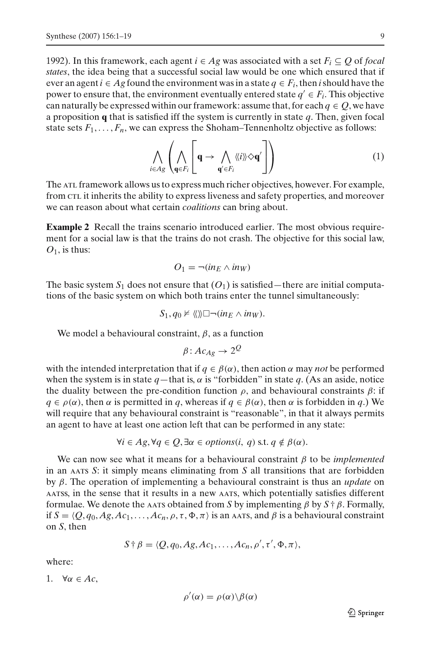1992). In this framework, each agent  $i \in Ag$  was associated with a set  $F_i \subseteq Q$  of *focal states*, the idea being that a successful social law would be one which ensured that if ever an agent  $i \in Ag$  found the environment was in a state  $q \in F_i$ , then *i* should have the power to ensure that, the environment eventually entered state  $q' \in F_i$ . This objective can naturally be expressed within our framework: assume that, for each  $q \in Q$ , we have a proposition **q** that is satisfied iff the system is currently in state *q*. Then, given focal state sets  $F_1, \ldots, F_n$ , we can express the Shoham–Tennenholtz objective as follows:

$$
\bigwedge_{i \in Ag} \left( \bigwedge_{\mathbf{q} \in F_i} \left[ \mathbf{q} \rightarrow \bigwedge_{\mathbf{q}' \in F_i} \langle \langle i \rangle \rangle \diamond \mathbf{q}' \right] \right) \tag{1}
$$

The ATL framework allows us to express much richer objectives, however. For example, from ctl it inherits the ability to express liveness and safety properties, and moreover we can reason about what certain *coalitions* can bring about.

**Example 2** Recall the trains scenario introduced earlier. The most obvious requirement for a social law is that the trains do not crash. The objective for this social law,  $O_1$ , is thus:

$$
O_1 = \neg (in_E \wedge in_W)
$$

The basic system  $S_1$  does not ensure that  $(O_1)$  is satisfied—there are initial computations of the basic system on which both trains enter the tunnel simultaneously:

$$
S_1,q_0\not\vDash \langle \langle \rangle \rangle \Box \neg (\text{in}_E \wedge \text{in}_W).
$$

We model a behavioural constraint,  $\beta$ , as a function

$$
\beta:Ac_{Ag}\to 2^Q
$$

with the intended interpretation that if  $q \in \beta(\alpha)$ , then action  $\alpha$  may *not* be performed when the system is in state  $q$ —that is,  $\alpha$  is "forbidden" in state q. (As an aside, notice the duality between the pre-condition function  $\rho$ , and behavioural constraints  $\beta$ : if  $q \in \rho(\alpha)$ , then  $\alpha$  is permitted in *q*, whereas if  $q \in \beta(\alpha)$ , then  $\alpha$  is forbidden in *q*.) We will require that any behavioural constraint is "reasonable", in that it always permits an agent to have at least one action left that can be performed in any state:

$$
\forall i \in Ag, \forall q \in Q, \exists \alpha \in options(i, q) \text{ s.t. } q \notin \beta(\alpha).
$$

We can now see what it means for a behavioural constraint β to be *implemented* in an aats *S*: it simply means eliminating from *S* all transitions that are forbidden by β. The operation of implementing a behavioural constraint is thus an *update* on aatss, in the sense that it results in a new aats, which potentially satisfies different formulae. We denote the aats obtained from *S* by implementing β by *S* † β. Formally, if  $S = \langle Q, q_0, Ag, Ac_1, \ldots, Ac_n, \rho, \tau, \Phi, \pi \rangle$  is an aars, and  $\beta$  is a behavioural constraint on *S*, then

$$
S \dagger \beta = \langle Q, q_0, Ag, Ac_1, \ldots, Ac_n, \rho', \tau', \Phi, \pi \rangle,
$$

where:

1.  $\forall \alpha \in Ac$ ,

$$
\rho'(\alpha) = \rho(\alpha) \backslash \beta(\alpha)
$$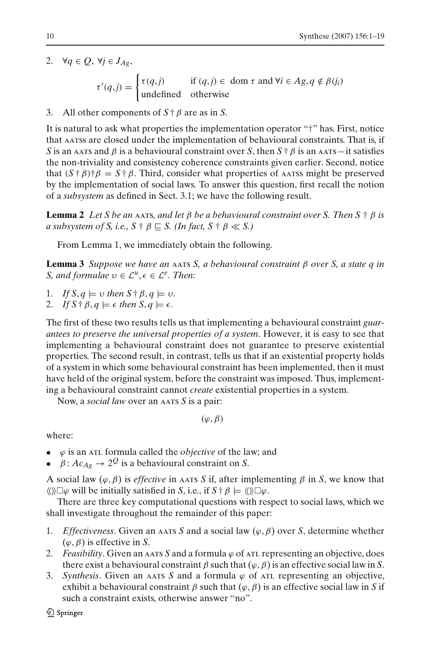2.  $\forall q \in Q, \forall j \in J_{Ag},$ 

 $\tau'(q,j) =$  $\int \tau(q, j)$  if  $(q, j) \in \text{dom } \tau \text{ and } \forall i \in Ag, q \notin \beta(j_i)$ undefined otherwise

3. All other components of  $S \dagger \beta$  are as in *S*.

It is natural to ask what properties the implementation operator "†" has. First, notice that aatss are closed under the implementation of behavioural constraints. That is, if *S* is an aats and  $\beta$  is a behavioural constraint over *S*, then *S*  $\dagger \beta$  is an aats—it satisfies the non-triviality and consistency coherence constraints given earlier. Second, notice that  $(S \dagger \beta) \dagger \beta = S \dagger \beta$ . Third, consider what properties of AATS might be preserved by the implementation of social laws. To answer this question, first recall the notion of a *subsystem* as defined in Sect. 3.1; we have the following result.

**Lemma** 2 Let *S be an* AATS, *and let*  $\beta$  *be a behavioural constraint over S. Then*  $S \dagger \beta$  *is a subsystem of S, i.e.,*  $S \dagger \beta \subseteq S$ *. (In fact,*  $S \dagger \beta \ll S$ *.)* 

From Lemma 1, we immediately obtain the following.

**Lemma 3** *Suppose we have an* aats *S, a behavioural constraint* β *over S, a state q in S, and formulae*  $v \in \mathcal{L}^u, \epsilon \in \mathcal{L}^e$ . *Then:* 

- 1. *If*  $S, q \models v$  *then*  $S \dagger \beta, q \models v$ .<br>2. *If*  $S \dagger \beta, a \models \epsilon$  *then*  $S, a \models \epsilon$ .
- $If S \dagger \beta, q \models \epsilon \ then \ S, q \models \epsilon.$

The first of these two results tells us that implementing a behavioural constraint *guarantees to preserve the universal properties of a system*. However, it is easy to see that implementing a behavioural constraint does not guarantee to preserve existential properties. The second result, in contrast, tells us that if an existential property holds of a system in which some behavioural constraint has been implemented, then it must have held of the original system, before the constraint was imposed. Thus, implementing a behavioural constraint cannot *create* existential properties in a system.

Now, a *social law* over an AATS S is a pair:

 $(\varphi, \beta)$ 

where:

- $\varphi$  is an ATL formula called the *objective* of the law; and
- $\beta$ :  $Ac_{Ag} \rightarrow 2^{\mathcal{Q}}$  is a behavioural constraint on *S*.

A social law  $(\varphi, \beta)$  is *effective* in AATS *S* if, after implementing  $\beta$  in *S*, we know that  $\langle \langle \rangle \rangle \Box \varphi$  will be initially satisfied in *S*, i.e., if  $S \dagger \beta \models \langle \langle \rangle \rangle \Box \varphi$ .

There are three key computational questions with respect to social laws, which we shall investigate throughout the remainder of this paper:

- 1. *Effectiveness*. Given an AATS *S* and a social law  $(\varphi, \beta)$  over *S*, determine whether  $(\varphi, \beta)$  is effective in *S*.
- 2. *Feasibility*. Given an AATS S and a formula  $\varphi$  of ATL representing an objective, does there exist a behavioural constraint  $\beta$  such that  $(\varphi, \beta)$  is an effective social law in *S*.
- 3. *Synthesis*. Given an AATS S and a formula  $\varphi$  of ATL representing an objective, exhibit a behavioural constraint  $\beta$  such that  $(\varphi, \beta)$  is an effective social law in *S* if such a constraint exists, otherwise answer "no".

2 Springer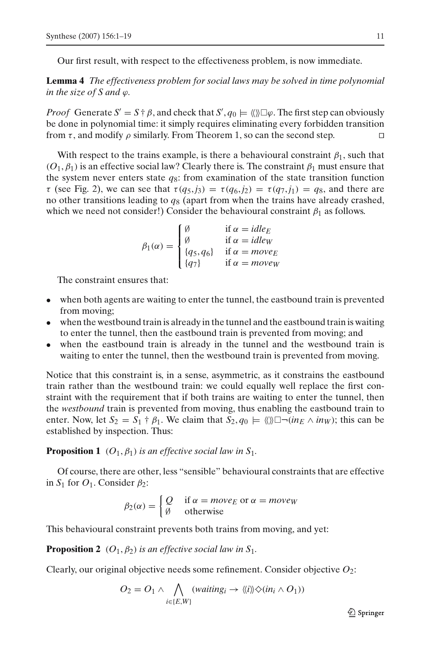Our first result, with respect to the effectiveness problem, is now immediate.

**Lemma 4** *The effectiveness problem for social laws may be solved in time polynomial in the size of S and* ϕ*.*

*Proof* Generate  $S' = S \dagger \beta$ , and check that  $S', q_0 \models \langle \rangle \Box \varphi$ . The first step can obviously be done in polynomial time: it simply requires eliminating every forbidden transition from  $\tau$ , and modify  $\rho$  similarly. From Theorem 1, so can the second step.  $\Box$ 

With respect to the trains example, is there a behavioural constraint  $\beta_1$ , such that  $(O_1, \beta_1)$  is an effective social law? Clearly there is. The constraint  $\beta_1$  must ensure that the system never enters state  $q_8$ : from examination of the state transition function  $\tau$  (see Fig. 2), we can see that  $\tau(q_5, j_3) = \tau(q_6, j_2) = \tau(q_7, j_1) = q_8$ , and there are no other transitions leading to *q*<sup>8</sup> (apart from when the trains have already crashed, which we need not consider!) Consider the behavioural constraint  $\beta_1$  as follows.

$$
\beta_1(\alpha) = \begin{cases} \n\emptyset & \text{if } \alpha = idl e_E \\ \n\emptyset & \text{if } \alpha = idl e_W \\ \n\{q_5, q_6\} & \text{if } \alpha = move_E \\ \n\{q_7\} & \text{if } \alpha = move_W \n\end{cases}
$$

The constraint ensures that:

- when both agents are waiting to enter the tunnel, the eastbound train is prevented from moving;
- when the westbound train is already in the tunnel and the eastbound train is waiting to enter the tunnel, then the eastbound train is prevented from moving; and
- when the eastbound train is already in the tunnel and the westbound train is waiting to enter the tunnel, then the westbound train is prevented from moving.

Notice that this constraint is, in a sense, asymmetric, as it constrains the eastbound train rather than the westbound train: we could equally well replace the first constraint with the requirement that if both trains are waiting to enter the tunnel, then the *westbound* train is prevented from moving, thus enabling the eastbound train to enter. Now, let  $S_2 = S_1 \dagger \beta_1$ . We claim that  $S_2, q_0 \models \langle \rangle \square \neg (in_E \land in_W)$ ; this can be established by inspection. Thus:

## **Proposition 1** ( $O_1$ ,  $\beta_1$ ) *is an effective social law in*  $S_1$ *.*

Of course, there are other, less "sensible" behavioural constraints that are effective in  $S_1$  for  $O_1$ . Consider  $\beta_2$ :

$$
\beta_2(\alpha) = \begin{cases} Q & \text{if } \alpha = move_E \text{ or } \alpha = move_W \\ \emptyset & \text{otherwise} \end{cases}
$$

This behavioural constraint prevents both trains from moving, and yet:

**Proposition 2** ( $O_1$ ,  $\beta_2$ ) *is an effective social law in*  $S_1$ *.* 

Clearly, our original objective needs some refinement. Consider objective *O*2:

$$
O_2 = O_1 \wedge \bigwedge_{i \in \{E, W\}} (waiting_i \rightarrow \langle\!\langle i \rangle\!\rangle \diamondsuit (in_i \wedge O_1))
$$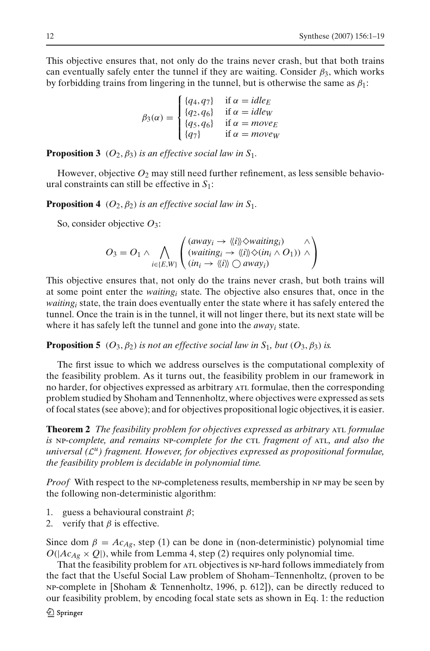This objective ensures that, not only do the trains never crash, but that both trains can eventually safely enter the tunnel if they are waiting. Consider  $\beta_3$ , which works by forbidding trains from lingering in the tunnel, but is otherwise the same as  $\beta_1$ :

$$
\beta_3(\alpha) = \begin{cases}\n\{q_4, q_7\} & \text{if } \alpha = idle_E \\
\{q_2, q_6\} & \text{if } \alpha = idle_W \\
\{q_5, q_6\} & \text{if } \alpha = move_E \\
\{q_7\} & \text{if } \alpha = move_W\n\end{cases}
$$

**Proposition 3** ( $O_2$ ,  $\beta_3$ ) *is an effective social law in*  $S_1$ *.* 

However, objective  $O_2$  may still need further refinement, as less sensible behavioural constraints can still be effective in *S*1:

**Proposition 4** ( $O_2$ ,  $\beta_2$ ) *is an effective social law in*  $S_1$ *.* 

So, consider objective *O*3:

$$
O_3 = O_1 \wedge \bigwedge_{i \in \{E, W\}} \left( \begin{array}{c} (away_i \rightarrow \langle\langle i \rangle\rangle \diamond waiting_i) & \wedge \\ (waiting_i \rightarrow \langle\langle i \rangle\rangle \diamond (in_i \wedge O_1)) & \wedge \\ (in_i \rightarrow \langle\langle i \rangle\rangle \bigcirc away_i) & \end{array} \right)
$$

This objective ensures that, not only do the trains never crash, but both trains will at some point enter the *waitingi* state. The objective also ensures that, once in the *waitingi* state, the train does eventually enter the state where it has safely entered the tunnel. Once the train is in the tunnel, it will not linger there, but its next state will be where it has safely left the tunnel and gone into the *awayi* state.

**Proposition 5** ( $O_3$ ,  $\beta_2$ ) *is not an effective social law in*  $S_1$ , *but* ( $O_3$ ,  $\beta_3$ ) *is.* 

The first issue to which we address ourselves is the computational complexity of the feasibility problem. As it turns out, the feasibility problem in our framework in no harder, for objectives expressed as arbitrary atl formulae, then the corresponding problem studied by Shoham and Tennenholtz, where objectives were expressed assets of focalstates(see above); and for objectives propositional logic objectives, it is easier.

**Theorem 2** *The feasibility problem for objectives expressed as arbitrary* atl *formulae is* np*-complete, and remains* np*-complete for the* ctl *fragment of* atl*, and also the universal (*L*u) fragment. However, for objectives expressed as propositional formulae, the feasibility problem is decidable in polynomial time.*

*Proof* With respect to the NP-completeness results, membership in NP may be seen by the following non-deterministic algorithm:

- 1. guess a behavioural constraint  $\beta$ ;
- 2. verify that  $\beta$  is effective.

Since dom  $\beta = Ac_{Ag}$ , step (1) can be done in (non-deterministic) polynomial time  $O(|Ac_{Ag} \times Q|)$ , while from Lemma 4, step (2) requires only polynomial time.

That the feasibility problem for atl objectives is np-hard follows immediately from the fact that the Useful Social Law problem of Shoham–Tennenholtz, (proven to be np-complete in [Shoham & Tennenholtz, 1996, p. 612]), can be directly reduced to our feasibility problem, by encoding focal state sets as shown in Eq. 1: the reduction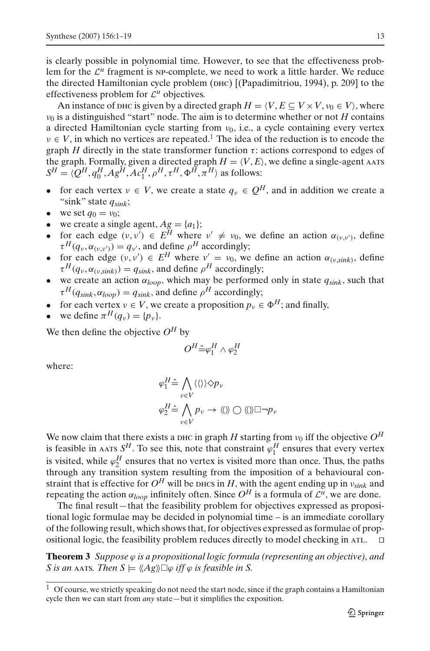is clearly possible in polynomial time. However, to see that the effectiveness problem for the  $\mathcal{L}^u$  fragment is NP-complete, we need to work a little harder. We reduce the directed Hamiltonian cycle problem (DHC) [(Papadimitriou, 1994), p. 209] to the effectiveness problem for  $\mathcal{L}^u$  objectives.

An instance of phc is given by a directed graph  $H = \langle V, E \subseteq V \times V, v_0 \in V \rangle$ , where  $\nu_0$  is a distinguished "start" node. The aim is to determine whether or not *H* contains a directed Hamiltonian cycle starting from  $v_0$ , i.e., a cycle containing every vertex  $v \in V$ , in which no vertices are repeated.<sup>1</sup> The idea of the reduction is to encode the graph *H* directly in the state transformer function  $\tau$ : actions correspond to edges of the graph. Formally, given a directed graph  $H = \langle V, E \rangle$ , we define a single-agent AATS  $S^H = \langle Q^H, q_0^H, Ag^H, Ac_1^H, \rho^H, \tau^H, \Phi^H, \pi^H \rangle$  as follows:

- for each vertex  $v \in V$ , we create a state  $q_v \in Q^H$ , and in addition we create a "sink" state *qsink*;
- we set  $q_0 = v_0$ ;
- we create a single agent,  $Ag = \{a_1\}$ ;
- for each edge  $(v, v') \in E^H$  where  $v' \neq v_0$ , we define an action  $\alpha_{(v,v')}$ , define  $\tau^H(q_\nu, \alpha_{(\nu, \nu')} ) = q_{\nu'}$ , and define  $\rho^H$  accordingly;
- for each edge  $(v, v') \in E^H$  where  $v' = v_0$ , we define an action  $\alpha_{(v, sink)}$ , define  $\tau^H(q_v, \alpha_{(v,sink)}) = q_{sink}$ , and define  $\rho^H$  accordingly;
- we create an action  $\alpha_{loop}$ , which may be performed only in state  $q_{sink}$ , such that  $\tau^H(q_{sink}, \alpha_{loop}) = q_{sink}$ , and define  $\rho^H$  accordingly;
- for each vertex  $v \in V$ , we create a proposition  $p_v \in \Phi^H$ ; and finally,
- we define  $\pi^{H}(q_{\nu}) = \{p_{\nu}\}.$

We then define the objective  $O^H$  by

$$
O^H \hat{=} \varphi_1^H \wedge \varphi_2^H
$$

where:

$$
\varphi_1^H \hat{=} \bigwedge_{v \in V} \langle \langle \rangle \rangle \diamond p_v
$$
  

$$
\varphi_2^H \hat{=} \bigwedge_{v \in V} p_v \to \langle \langle \rangle \rangle \bigcirc \langle \langle \rangle \rangle \Box \neg p_v
$$

We now claim that there exists a DHC in graph *H* starting from  $\nu_0$  iff the objective  $O^H$ is feasible in AATS  $S^H$ . To see this, note that constraint  $\varphi_1^H$  ensures that every vertex is visited, while  $\varphi_2^H$  ensures that no vertex is visited more than once. Thus, the paths through any transition system resulting from the imposition of a behavioural constraint that is effective for  $O^H$  will be phcs in *H*, with the agent ending up in  $v_{sink}$  and repeating the action  $\alpha_{loop}$  infinitely often. Since  $O^H$  is a formula of  $\mathcal{L}^u$ , we are done.

The final result—that the feasibility problem for objectives expressed as propositional logic formulae may be decided in polynomial time – is an immediate corollary of the following result, which showsthat, for objectives expressed asformulae of propositional logic, the feasibility problem reduces directly to model checking in ATL.

**Theorem 3** *Suppose*  $\varphi$  *is a propositional logic formula (representing an objective), and S is an* aats. *Then*  $S \models \langle \langle Ag \rangle \rangle \Box \varphi$  *iff*  $\varphi$  *is feasible in S.* 

<sup>1</sup> Of course, we strictly speaking do not need the start node, since if the graph contains a Hamiltonian cycle then we can start from *any* state—but it simplifies the exposition.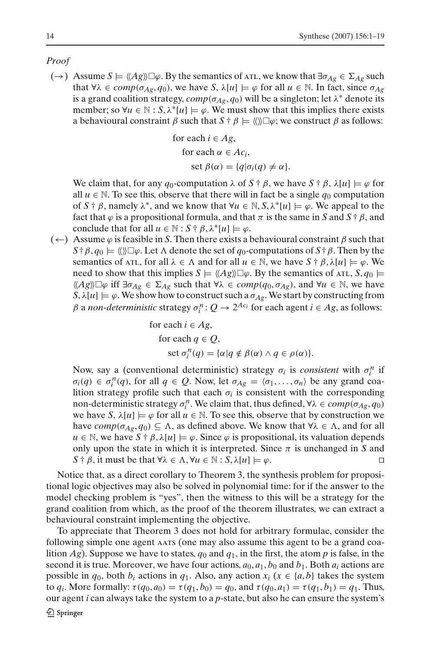### *Proof*

 $(\rightarrow)$  Assume  $S \models \langle \langle Ag \rangle \rangle \Box \varphi$ . By the semantics of ATL, we know that  $\exists \sigma_{Ag} \in \Sigma_{Ag}$  such that  $\forall \lambda \in comp(\sigma_{Ag}, q_0)$ , we have *S*,  $\lambda[u] \models \varphi$  for all  $u \in \mathbb{N}$ . In fact, since  $\sigma_{Ag}$ is a grand coalition strategy,  $comp(\sigma_{Ag}, q_0)$  will be a singleton; let  $\lambda^*$  denote its member; so  $\forall u \in \mathbb{N}: S, \lambda^* [u] \models \varphi$ . We must show that this implies there exists a behavioural constraint  $\beta$  such that  $S \dagger \beta \models \langle \langle \rangle \rangle \Box \varphi$ ; we construct  $\beta$  as follows:

for each 
$$
i \in Ag
$$
,  
for each  $\alpha \in Ac_i$ ,  
set  $\beta(\alpha) = \{q | \sigma_i(q) \neq \alpha\}$ .

We claim that, for any  $q_0$ -computation  $\lambda$  of  $S \dagger \beta$ , we have  $S \dagger \beta$ ,  $\lambda[u] \models \varphi$  for all  $u \in \mathbb{N}$ . To see this, observe that there will in fact be a single  $q_0$  computation of *S*  $\dagger \beta$ , namely  $\lambda^*$ , and we know that  $\forall u \in \mathbb{N}, S, \lambda^* [u] \models \varphi$ . We appeal to the fact that  $\varphi$  is a propositional formula, and that  $\pi$  is the same in *S* and *S*  $\dagger \beta$ , and conclude that for all  $u \in \mathbb{N} : S \dagger \beta, \lambda^* [u] \models \varphi$ .

(←) Assume  $\varphi$  is feasible in *S*. Then there exists a behavioural constraint  $\beta$  such that  $S \dagger \beta, q_0 \models \langle \langle \rangle \rangle \Box \varphi$ . Let  $\Lambda$  denote the set of  $q_0$ -computations of  $S \dagger \beta$ . Then by the semantics of ATL, for all  $\lambda \in \Lambda$  and for all  $u \in \mathbb{N}$ , we have  $S \dagger \beta, \lambda[u] \models \varphi$ . We need to show that this implies  $S \models \langle \langle Ag \rangle \rangle \Box \varphi$ . By the semantics of ATL,  $S, q_0 \models$  $\langle \langle Ag \rangle \rangle$   $\Box \varphi$  iff  $\exists \sigma_{Ag} \in \Sigma_{Ag}$  such that  $\forall \lambda \in comp(q_0, \sigma_{Ag})$ , and  $\forall u \in \mathbb{N}$ , we have  $S, \lambda[u] \models \varphi$ . We show how to construct such a  $\sigma_{Ag}$ . We start by constructing from β a *non-deterministic* strategy  $σ_i^n$ :  $Q \rightarrow 2^{Ac_i}$  for each agent  $i \in Ag$ , as follows:

for each 
$$
i \in Ag
$$
,  
for each  $q \in Q$ ,  
set  $\sigma_i^n(q) = {\alpha | q \notin \beta(\alpha) \land q \in \rho(\alpha)}.$ 

Now, say a (conventional deterministic) strategy  $\sigma_i$  is *consistent* with  $\sigma_i^n$  if  $\sigma_i(q) \in \sigma_i^n(q)$ , for all  $q \in Q$ . Now, let  $\sigma_{Ag} = \langle \sigma_1, \ldots, \sigma_n \rangle$  be any grand coalition strategy profile such that each  $\sigma_i$  is consistent with the corresponding non-deterministic strategy  $\sigma_i^n$ . We claim that, thus defined,  $\forall \lambda \in comp(\sigma_{Ag}, q_0)$ we have *S*,  $\lambda[u] \models \varphi$  for all  $u \in \mathbb{N}$ . To see this, observe that by construction we have  $comp(\sigma_{Ag}, q_0) \subseteq \Lambda$ , as defined above. We know that  $\forall \lambda \in \Lambda$ , and for all  $u \in \mathbb{N}$ , we have  $S \dagger \beta$ ,  $\lambda[u] \models \varphi$ . Since  $\varphi$  is propositional, its valuation depends only upon the state in which it is interpreted. Since  $\pi$  is unchanged in *S* and  $S \dagger \beta$ , it must be that  $\forall \lambda \in \Lambda, \forall u \in \mathbb{N} : S, \lambda[u] \models \varphi$ .

Notice that, as a direct corollary to Theorem 3, the synthesis problem for propositional logic objectives may also be solved in polynomial time: for if the answer to the model checking problem is "yes", then the witness to this will be a strategy for the grand coalition from which, as the proof of the theorem illustrates, we can extract a behavioural constraint implementing the objective.

To appreciate that Theorem 3 does not hold for arbitrary formulae, consider the following simple one agent aats (one may also assume this agent to be a grand coalition *Ag*). Suppose we have to states,  $q_0$  and  $q_1$ , in the first, the atom *p* is false, in the second it is true. Moreover, we have four actions,  $a_0$ ,  $a_1$ ,  $b_0$  and  $b_1$ . Both  $a_i$  actions are possible in  $q_0$ , both  $b_i$  actions in  $q_1$ . Also, any action  $x_i$  ( $x \in \{a, b\}$  takes the system to *qi*. More formally: τ (*q*0, *a*0) = τ (*q*1, *b*0) = *q*0, and τ (*q*0, *a*1) = τ (*q*1, *b*1) = *q*1. Thus, our agent *i* can always take the system to a *p*-state, but also he can ensure the system's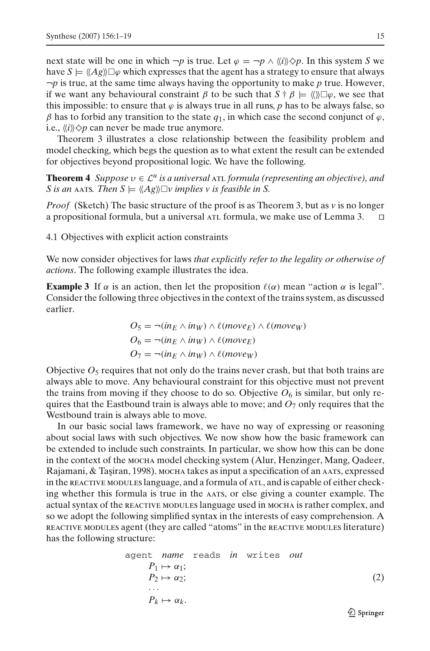next state will be one in which  $\neg p$  is true. Let  $\varphi = \neg p \wedge \langle i \rangle \Diamond p$ . In this system *S* we have  $S = \langle \langle Ag \rangle \rangle \Box \varphi$  which expresses that the agent has a strategy to ensure that always  $\neg p$  is true, at the same time always having the opportunity to make p true. However, if we want any behavioural constraint  $\beta$  to be such that  $S \dagger \beta \models \langle \langle \rangle \square \varphi$ , we see that this impossible: to ensure that  $\varphi$  is always true in all runs, p has to be always false, so  $β$  has to forbid any transition to the state  $q_1$ , in which case the second conjunct of  $φ$ , i.e.,  $\langle \langle i \rangle \rangle \diamond p$  can never be made true anymore.

Theorem 3 illustrates a close relationship between the feasibility problem and model checking, which begs the question as to what extent the result can be extended for objectives beyond propositional logic. We have the following.

**Theorem 4** *Suppose*  $v \in \mathcal{L}^u$  *is a universal* ATL *formula (representing an objective), and S is an* AATS. *Then*  $S \models \langle \langle Ag \rangle \rangle \Box v$  *implies v is feasible in S*.

*Proof* (Sketch) The basic structure of the proof is as Theorem 3, but as *v* is no longer a propositional formula, but a universal ATL formula, we make use of Lemma 3.  $\Box$ 

4.1 Objectives with explicit action constraints

We now consider objectives for laws *that explicitly refer to the legality or otherwise of actions*. The following example illustrates the idea.

**Example 3** If  $\alpha$  is an action, then let the proposition  $\ell(\alpha)$  mean "action  $\alpha$  is legal". Consider the following three objectives in the context of the trains system, as discussed earlier.

$$
O_5 = \neg (in_E \land in_W) \land \ell (move_E) \land \ell (move_W)
$$
  
\n
$$
O_6 = \neg (in_E \land in_W) \land \ell (move_E)
$$
  
\n
$$
O_7 = \neg (in_E \land in_W) \land \ell (move_W)
$$

Objective  $O_5$  requires that not only do the trains never crash, but that both trains are always able to move. Any behavioural constraint for this objective must not prevent the trains from moving if they choose to do so. Objective  $O_6$  is similar, but only requires that the Eastbound train is always able to move; and  $O_7$  only requires that the Westbound train is always able to move.

In our basic social laws framework, we have no way of expressing or reasoning about social laws with such objectives. We now show how the basic framework can be extended to include such constraints. In particular, we show how this can be done in the context of the mocha model checking system (Alur, Henzinger, Mang, Qadeer, Rajamani, & Tasiran, 1998). MOCHA takes as input a specification of an AATS, expressed in the REACTIVE MODULES language, and a formula of ATL, and is capable of either checking whether this formula is true in the aats, or else giving a counter example. The actual syntax of the reactive modules language used in mocha is rather complex, and so we adopt the following simplified syntax in the interests of easy comprehension. A reactive modules agent (they are called "atoms" in the reactive modules literature) has the following structure:

agent name reads in writes out

\n
$$
P_1 \mapsto \alpha_1;
$$
\n
$$
P_2 \mapsto \alpha_2;
$$
\n
$$
\dots
$$
\n
$$
P_k \mapsto \alpha_k.
$$
\n(2)

**◯** Springer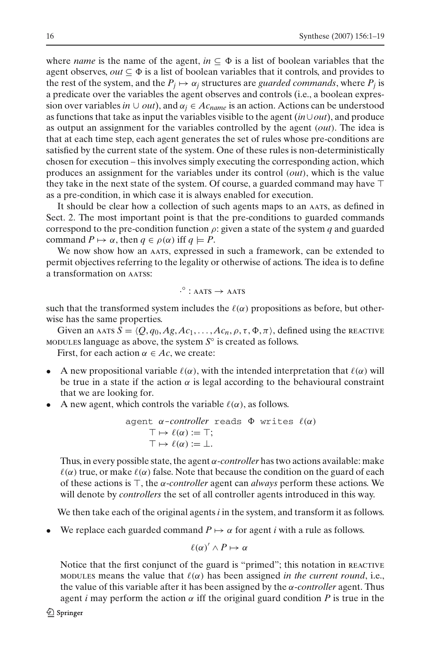where *name* is the name of the agent, *in*  $\subseteq \Phi$  is a list of boolean variables that the agent observes, *out*  $\subseteq \Phi$  is a list of boolean variables that it controls, and provides to the rest of the system, and the  $P_i \mapsto \alpha_i$  structures are *guarded commands*, where  $P_i$  is a predicate over the variables the agent observes and controls (i.e., a boolean expression over variables *in*  $\cup$  *out*), and  $\alpha_i \in A_{C<sub>name</sub>}$  is an action. Actions can be understood as functions that take as input the variables visible to the agent (*in*∪*out*), and produce as output an assignment for the variables controlled by the agent (*out*). The idea is that at each time step, each agent generates the set of rules whose pre-conditions are satisfied by the current state of the system. One of these rules is non-deterministically chosen for execution – this involves simply executing the corresponding action, which produces an assignment for the variables under its control (*out*), which is the value they take in the next state of the system. Of course, a guarded command may have  $\top$ as a pre-condition, in which case it is always enabled for execution.

It should be clear how a collection of such agents maps to an aats, as defined in Sect. 2. The most important point is that the pre-conditions to guarded commands correspond to the pre-condition function  $\rho$ : given a state of the system  $q$  and guarded command  $P \mapsto \alpha$ , then  $q \in \rho(\alpha)$  iff  $q \models P$ .

We now show how an AATS, expressed in such a framework, can be extended to permit objectives referring to the legality or otherwise of actions. The idea is to define a transformation on AATSS:

$$
\cdot^{\circ} : \text{AATS} \rightarrow \text{AATS}
$$

such that the transformed system includes the  $\ell(\alpha)$  propositions as before, but otherwise has the same properties.

Given an AATS  $S = \langle Q, q_0, Ag, Ac_1, \ldots, Ac_n, \rho, \tau, \Phi, \pi \rangle$ , defined using the REACTIVE modules language as above, the system *S*◦ is created as follows.

First, for each action  $\alpha \in Ac$ , we create:

- A new propositional variable  $\ell(\alpha)$ , with the intended interpretation that  $\ell(\alpha)$  will be true in a state if the action  $\alpha$  is legal according to the behavioural constraint that we are looking for.
- A new agent, which controls the variable  $\ell(\alpha)$ , as follows.

agent α*-controller* reads Φ writes 
$$
ℓ(α)
$$
  
\nT  $mapsto ℓ(α) := T;$   
\nT  $mapsto ℓ(α) := L.$ 

Thus, in every possible state, the agent  $\alpha$ -*controller* has two actions available: make  $\ell(\alpha)$  true, or make  $\ell(\alpha)$  false. Note that because the condition on the guard of each of these actions is  $\top$ , the  $\alpha$ -*controller* agent can *always* perform these actions. We will denote by *controllers* the set of all controller agents introduced in this way.

We then take each of the original agents *i* in the system, and transform it as follows.

We replace each guarded command  $P \mapsto \alpha$  for agent *i* with a rule as follows.

$$
\ell(\alpha)'\wedge P\mapsto\alpha
$$

Notice that the first conjunct of the guard is "primed"; this notation in reactive modules means the value that  $\ell(\alpha)$  has been assigned *in the current round*, i.e., the value of this variable after it has been assigned by the  $\alpha$ -*controller* agent. Thus agent *i* may perform the action  $\alpha$  iff the original guard condition *P* is true in the

2 Springer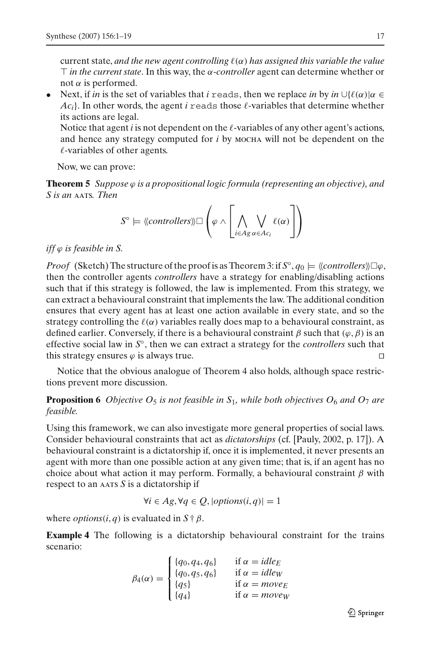current state, and the new agent controlling  $\ell(\alpha)$  has assigned this variable the value ? *in the current state*. In this way, the α-*controller* agent can determine whether or not  $α$  is performed.

Next, if *in* is the set of variables that *i* reads, then we replace *in* by *in* ∪{ $\ell(\alpha) | \alpha \in$  $Ac_i$ . In other words, the agent *i* reads those  $\ell$ -variables that determine whether its actions are legal.

Notice that agent *i* is not dependent on the  $\ell$ -variables of any other agent's actions, and hence any strategy computed for *i* by mocha will not be dependent on the  $\ell$ -variables of other agents.

Now, we can prove:

**Theorem 5** *Suppose* ϕ *is a propositional logic formula (representing an objective), and S is an* aats*. Then*

$$
S^{\circ} \models \langle \langle controllers \rangle \rangle \Box \left(\varphi \wedge \left[\bigwedge_{i \in Ag} \bigvee_{\alpha \in Ac_i} \ell(\alpha)\right]\right)
$$

 $iff \varphi$  *is feasible in S.* 

*Proof* (Sketch) The structure of the proof is as Theorem 3: if  $S^\circ, q_0 \models \langle \langle \text{controulers} \rangle \Box \varphi,$ then the controller agents *controllers* have a strategy for enabling/disabling actions such that if this strategy is followed, the law is implemented. From this strategy, we can extract a behavioural constraint that implementsthe law. The additional condition ensures that every agent has at least one action available in every state, and so the strategy controlling the  $\ell(\alpha)$  variables really does map to a behavioural constraint, as defined earlier. Conversely, if there is a behavioural constraint  $\beta$  such that  $(\varphi, \beta)$  is an effective social law in *S*◦, then we can extract a strategy for the *controllers* such that this strategy ensures  $\varphi$  is always true.  $\Box$ 

Notice that the obvious analogue of Theorem 4 also holds, although space restrictions prevent more discussion.

**Proposition 6** *Objective*  $O_5$  *is not feasible in*  $S_1$ *, while both objectives*  $O_6$  *and*  $O_7$  *are feasible.*

Using this framework, we can also investigate more general properties of social laws. Consider behavioural constraints that act as *dictatorships* (cf. [Pauly, 2002, p. 17]). A behavioural constraint is a dictatorship if, once it is implemented, it never presents an agent with more than one possible action at any given time; that is, if an agent has no choice about what action it may perform. Formally, a behavioural constraint  $\beta$  with respect to an aats *S* is a dictatorship if

$$
\forall i \in Ag, \forall q \in Q, |options(i, q)| = 1
$$

where *options* $(i, q)$  is evaluated in  $S \dagger \beta$ .

**Example 4** The following is a dictatorship behavioural constraint for the trains scenario:

$$
\beta_4(\alpha) = \begin{cases}\n\{q_0, q_4, q_6\} & \text{if } \alpha = idl e_E \\
\{q_0, q_5, q_6\} & \text{if } \alpha = idl e_W \\
\{q_5\} & \text{if } \alpha = move_E \\
\{q_4\} & \text{if } \alpha = move_W\n\end{cases}
$$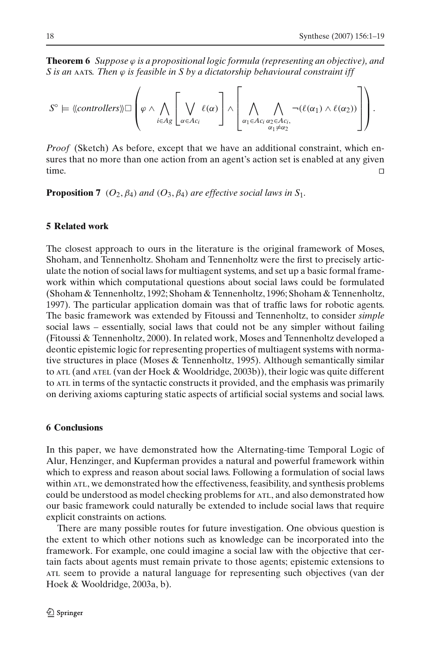**Theorem 6** *Suppose* ϕ *is a propositional logic formula (representing an objective), and S is an* aats*. Then* ϕ *is feasible in S by a dictatorship behavioural constraint iff*

$$
S^{\circ} \models \langle \langle controllers \rangle \rangle \Box \left( \varphi \wedge \bigwedge_{i \in Ag} \left[ \bigvee_{\alpha \in Ac_i} \ell(\alpha) \right] \wedge \left[ \bigwedge_{\alpha_1 \in Ac_i} \bigwedge_{\alpha_2 \in Ac_i, \atop \alpha_1 \neq \alpha_2} \neg(\ell(\alpha_1) \wedge \ell(\alpha_2)) \right] \right).
$$

*Proof* (Sketch) As before, except that we have an additional constraint, which ensures that no more than one action from an agent's action set is enabled at any given time.  $\Box$ 

**Proposition 7** ( $O_2$ ,  $\beta_4$ ) *and* ( $O_3$ ,  $\beta_4$ ) *are effective social laws in*  $S_1$ *.* 

# **5 Related work**

The closest approach to ours in the literature is the original framework of Moses, Shoham, and Tennenholtz. Shoham and Tennenholtz were the first to precisely articulate the notion of social laws for multiagent systems, and set up a basic formal framework within which computational questions about social laws could be formulated (Shoham & Tennenholtz, 1992; Shoham & Tennenholtz, 1996; Shoham & Tennenholtz, 1997). The particular application domain was that of traffic laws for robotic agents. The basic framework was extended by Fitoussi and Tennenholtz, to consider *simple* social laws – essentially, social laws that could not be any simpler without failing (Fitoussi & Tennenholtz, 2000). In related work, Moses and Tennenholtz developed a deontic epistemic logic for representing properties of multiagent systems with normative structures in place (Moses & Tennenholtz, 1995). Although semantically similar to ATL (and ATEL (van der Hoek & Wooldridge, 2003b)), their logic was quite different to ATL in terms of the syntactic constructs it provided, and the emphasis was primarily on deriving axioms capturing static aspects of artificial social systems and social laws.

## **6 Conclusions**

In this paper, we have demonstrated how the Alternating-time Temporal Logic of Alur, Henzinger, and Kupferman provides a natural and powerful framework within which to express and reason about social laws. Following a formulation of social laws within ATL, we demonstrated how the effectiveness, feasibility, and synthesis problems could be understood as model checking problems for ATL, and also demonstrated how our basic framework could naturally be extended to include social laws that require explicit constraints on actions.

There are many possible routes for future investigation. One obvious question is the extent to which other notions such as knowledge can be incorporated into the framework. For example, one could imagine a social law with the objective that certain facts about agents must remain private to those agents; epistemic extensions to atl seem to provide a natural language for representing such objectives (van der Hoek & Wooldridge, 2003a, b).